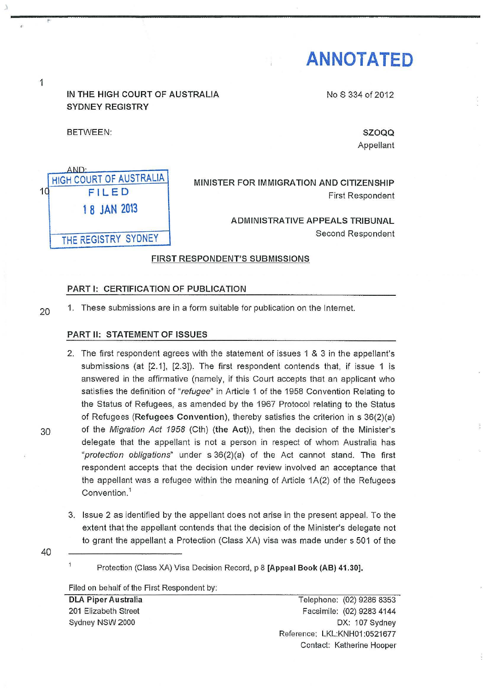# **ANNOTATED**

NoS 334 of 2012

1

IN THE HIGH COURT OF AUSTRALIA SYDNEY REGISTRY

BETWEEN:

SZOQQ

Appellant



#### FIRST RESPONDENT'S SUBMISSIONS

#### PART 1: CERTIFICATION OF PUBLICATION

20<sup>1</sup>. These submissions are in a form suitable for publication on the Internet.

#### PART II: STATEMENT OF ISSUES

- 2. The first respondent agrees with the statement of issues 1 & 3 in the appellant's submissions (at [2.1], [2.3]). The first respondent contends that, if issue 1 is answered in the affirmative (namely, if this Court accepts that an applicant who satisfies the definition of "refugee" in Article 1 of the 1958 Convention Relating to the Status of Refugees, as amended by the 1967 Protocol relating to the Status of Refugees (Refugees Convention), thereby satisfies the criterion in s 36(2)(a) 30 of the Migration Act 1958 (Cth) (the Act)), then the decision of the Minister's delegate that the appellant is not a person in respect of whom Australia has "protection obligations" under s 36(2)(a) of the Act cannot stand. The first respondent accepts that the decision under review involved an acceptance that the appellant was a refugee within the meaning of Article 1A(2) of the Refugees Convention. 1
	- 3. Issue 2 as identified by the appellant does not arise in the present appeal. To the extent that the appellant contends that the decision of the Minister's delegate not to grant the appellant a Protection (Class XA) visa was made under s 501 of the
- 40

 $\overline{\mathbf{1}}$ 

Filed on behalf of the First Respondent by:

DLA Piper Australia 201 Elizabeth Street Sydney NSW 2000

Telephone: (02) 9286 8353 Facsimile: (02) 9283 4144 OX: 107 Sydney Reference: LKL:KNH01 :0521677 Contact: Katherine Hooper

Protection (Class XA) Visa Decision Record, p 8 [Appeal Book (AB) 41.30].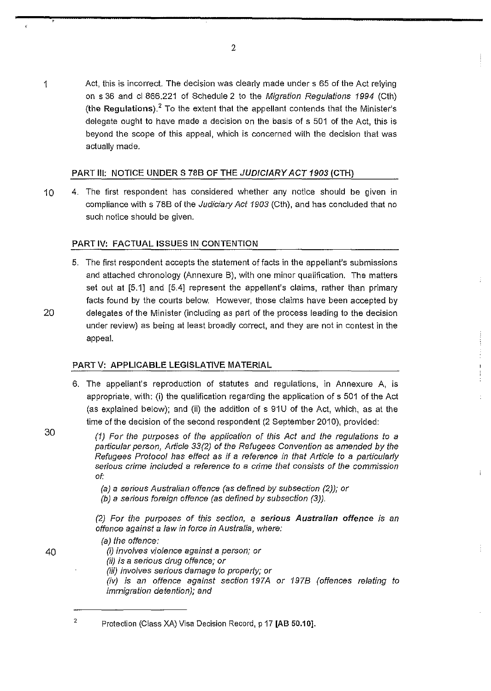1 Act, this is incorrect. The decision was clearly made under s 65 of the Act relying on s 36 and cl 866.221 of Schedule 2 to the Migration Regulations 1994 (Cth) (the Regulations). $<sup>2</sup>$  To the extent that the appellant contends that the Minister's</sup> delegate ought to have made a decision on the basis of s 501 of the Act, this is beyond the scope of this appeal, which is concerned with the decision that was actually made.

## PART III: NOTICE UNDER S 78B OF THE JUDICIARY ACT 1903 (CTH)

10 4. The first respondent has considered whether any notice should be given in compliance with s 78B of the Judiciary Act 1903 (Cth), and has concluded that no such notice should be given.

## PART IV: FACTUAL ISSUES IN CONTENTION

5. The first respondent accepts the statement of facts in the appellant's submissions and attached chronology (Annexure B), with one minor qualification, The matters set out at [5.1] and [5.4] represent the appellant's claims, rather than primary facts found by the courts below. However, those claims have been accepted by 20 delegates of the Minister (including as part of the process leading to the decision under review) as being at least broadly correct, and they are not in contest in the appeal.

## PARTV: APPLICABLE LEGISLATIVE MATERIAL

- 6. The appellant's reproduction of statutes and regulations, in Annexure A, is appropriate, with: (i) the qualification regarding the application of s 501 of the Act (as explained below); and (ii) the addition of s 91U of the Act, which, as at the time of the decision of the second respondent (2 September 2010), provided:
	- (1) For the purposes of the application of this Act and the regulations to a particular person, Article 33(2) of the Refugees Convention as amended by the Refugees Protocol has effect as if a reference in that Article to a particularly serious crime included a reference to a crime that consists of the commission of:

 $\ddot{\phantom{a}}$ 

(a) a serious Australian offence (as defined by subsection (2)); or

(b) a serious foreign offence (as defined by subsection (3)).

(2) For the purposes of this section, a serious Australian offence is an offence against a law in force in Australia, where:

(a) the offence:

40 (i) involves violence against a person; or

(ii) is a serious drug offence; or

(iii) involves serious damage to property; or

(iv) is an offence against section 197A or 1978 (offences relating to immigration detention); and

Protection (Class XA) Visa Decision Record, p 17 [AB 50.10].

30

2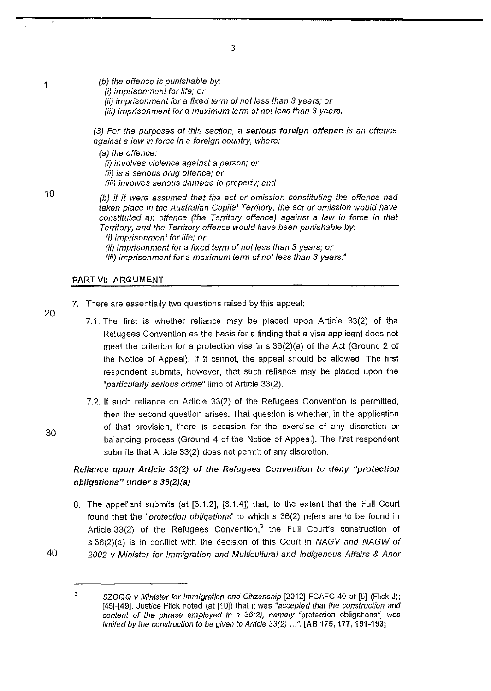$(b)$  the offence is punishable by:

- (i) imprisonment for life; or
- (ii) imprisonment for a fixed term of not less than 3 years; or
- (iii) imprisonment for a maximum term of not less than 3 years.

(3) For the purposes of this section, a serious foreign offence is an offence against a law in force in a foreign country, where:

{a) the offence:

(i) involves violence against a person; or

(ii) is a serious drug offence; or

(iii) involves serious damage to property; and

{b) if it were assumed that the act or omission constituting the offence had taken place in the Australian Capital Territory, the act or omission would have constituted an offence (the Territory offence) against a Jaw in force in that Territory, and the Territory offence would have been punishable by:

(ii) imprisonment for a fixed term of not less than 3 years; or

(iii) imprisonment for a maximum term of not less than 3 years."

## PART VI: ARGUMENT

- 7. There are essentially two questions raised by this appeal:
	- 7.1. The first is whether reliance may be placed upon Article 33(2) of the Refugees Convention as the basis for a finding that a visa applicant does not meet the criterion for a protection visa in s 36(2)(a) of the Act (Ground 2 of the Notice of Appeal). If it cannot, the appeal should be allowed. The first respondent submits, however, that such reliance may be placed upon the "particularly serious crime" limb of Article 33(2).
	- 7.2. If such reliance on Article 33(2) of the Refugees Convention is permitted, then the second question arises. That question is whether, in the application of that provision, there is occasion for the exercise of any discretion or balancing process (Ground 4 of the Notice of Appeal). The first respondent submits that Article 33(2) does not permit of any discretion.

# Reliance upon Article 33(2) of the Refugees Convention to deny "protection obligations" under s 36(2)(a)

8. The appellant submits (at [6.1.2], [6.1.4]) that, to the extent that the Full Court found that the "protection obligations" to which s 36(2) refers are to be found in Article  $33(2)$  of the Refugees Convention,<sup>3</sup> the Full Court's construction of s 36(2)(a) is in conflict with the decision of this Court in NAGV and NAGW of 2002 v Minister for Immigration and Multicultural and Indigenous Affairs & Anor

40

20

10

1

<sup>(</sup>i) imprisonment for life; or

<sup>&</sup>lt;sup>3</sup> SZOQQ v Minister for Immigration and Citizenship [2012] FCAFC 40 at [5] (Flick J); [45]-[49]. Justice Flick noted (at [10]) that it was "accepted that the construction and content of the phrase employed in s 36(2), namely "protection obligations", was limited by the construction to be given to Article 33(2) ...". [AB 175, 177, 191-193]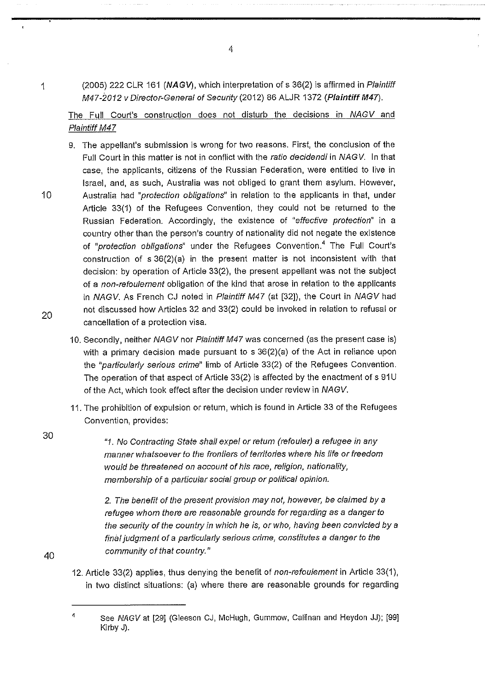1 (2005) 222 CLR 161 **(NAGV),** which interpretation of s 36(2) is affirmed in Plaintiff M47-2012 v Director-General of Security (2012) B6 ALJR 1372 **(Plaintiff M47).** 

The Full Court's construction does not disturb the decisions in NAGV and Plaintiff M47

- 9. The appellant's submission is wrong for two reasons. First, the conclusion of the Full Court in this matter is not in conflict with the ratio decidendi in NAGV. In that case, the applicants, citizens of the Russian Federation, were entitled to live in Israel, and, as such, Australia was not obliged to grant them asylum. However, 10 Australia had "protection obligations" in relation to the applicants in that, under Article 33(1) of the Refugees Convention, they could not be returned to the Russian Federation. Accordingly, the existence of "effective protection" in a country other than the person's country of nationality did not negate the existence of "protection obligations" under the Refugees Convention.<sup>4</sup> The Full Court's construction of s 36(2)(a) in the present matter is not inconsistent with that decision: by operation of Article 33(2), the present appellant was not the subject of a non-refoulement obligation of the kind that arose in relation to the applicants in NAGV. As French CJ noted in Plaintiff M47 (at [32]), the Court in NAGV had not discussed how Articles 32 and 33(2) could be invoked in relation to refusal or cancellation of a protection visa.
	- 10. Secondly, neither NAGV nor Plaintiff M47 was concerned (as the present case is) with a primary decision made pursuant to s 36(2)(a) of the Act in reliance upon the "particularly serious crime" limb of Article 33(2) of the Refugees Convention. The operation of that aspect of Article 33(2) is affected by the enactment of s 91 U of the Act, which took effect after the decision under review in NAGV.
	- 11. The prohibition of expulsion or return, which is found in Article 33 of the Refugees Convention, provides:

"1. No Contracting State shall expel or return (refouler) a refugee in any manner whatsoever to the frontiers of territories where his life or freedom would be threatened on account of his race, religion, nationality, membership of a particular social group or political opinion.

2. The benefit of the present provision may not, however, be claimed by a refugee whom there are reasonable grounds for regarding as a danger to the security of the country in which he is, or who, having been convicted by *a*  final judgment of a particularly serious crime, constitutes a danger to the community of that country.<sup>"</sup>

12. Article 33(2) applies, thus denying the benefit of non-refoulement in Article 33(1), in two distinct situations: (a) where there are reasonable grounds for regarding

4

20

30

<sup>&</sup>lt;sup>4</sup> See NAGV at [29] (Gleeson CJ, McHugh, Gummow, Callinan and Heydon JJ); [99] Kirby J).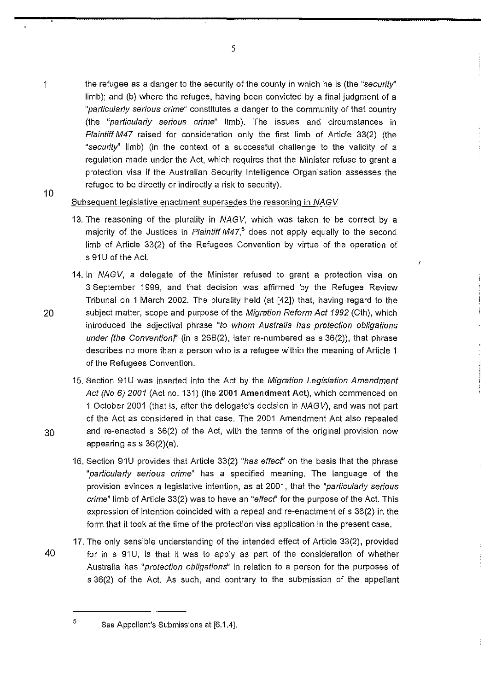- 1 the refugee as a danger to the security of the county in which he is (the "security" limb); and (b) where the refugee, having been convicted by a final judgment of a "particularly serious crime" constitutes a danger to the community of that country (the "particulariy serious crime" limb). The issues and circumstances in Plaintiff M47 raised for consideration only the first limb of Article 33(2) (the "security'' limb) (in the context of a successful challenge to the validity of a regulation made under the Act, which requires that the Minister refuse to grant a protection visa if the Australian Security Intelligence Organisation assesses the 10 refugee to be directly or indirectly a risk to security).
	- Subsequent legislative enactment supersedes the reasoning in NAGV
		- 13. The reasoning of the plurality in NAGV, which was taken to be correct by a majority of the Justices in Plaintiff M47,<sup>5</sup> does not apply equally to the second limb of Article 33(2) of the Refugees Convention by virtue of the operation of s 91U of the Act.
- 14. In NAGV, a delegate of the Minister refused to grant a protection visa on 3 September 1999, and that decision was affirmed by the Refugee Review Tribunal on 1 March 2002. The plurality held (at [42]) that, having regard to the 20 subject matter, scope and purpose of the Migration Reform Act 1992 (Cth), which introduced the adjectival phrase "to whom Australia has protection obligations under [the Convention]' (in s  $26B(2)$ , later re-numbered as s  $36(2)$ ), that phrase describes no more than a person who is a refugee within the meaning of Article 1 of the Refugees Convention.
- 15. Section 91U was inserted into the Act by the Migration Legislation Amendment Act (No 6) 2001 (Act no. 131) (the 2001 Amendment Act), which commenced on 1 October 2001 (that is, after the delegate's decision in NAGV), and was not part of the Act as considered in that case. The 2001 Amendment Act also repealed 30 and re-enacted s 36(2) of the Act, with the terms of the original provision now appearing ass 36(2)(a).
	- 16. Section 91U provides that Article 33(2) "has effecf' on the basis that the phrase "particularly serious crime" has a specified meaning. The language of the provision evinces a legislative intention, as at 2001, that the "particularly serious crime" limb of Article 33(2) was to have an "effecf' for the purpose of the Act. This expression of intention coincided with a repeal and re-enactment of s 36(2) in the form that it took at the time of the protection visa application in the present case.
- 17. The only sensible understanding of the intended effect of Article 33(2), provided 40 for in s 91U, is that it was to apply as part of the consideration of whether Australia has "protection obligations" in relation to a person for the purposes of s 36(2) of the Act. As such, and contrary to the submission of the appellant
- 

 $5$  See Appellant's Submissions at [6.1.4].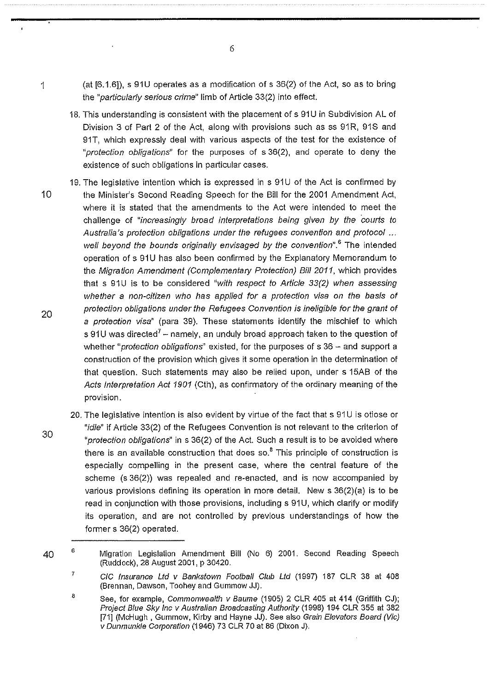1 (at [6.1 .6]), s 91 U operates as a modification of s 36(2) of the Act, so as to bring the "particularly serious crime" limb of Article 33(2) into effect.

6

- 18. This understanding is consistent with the placement of s 91U in Subdivision AL of Division 3 of Part 2 of the Act, along with provisions such as ss 91R, 91S and 91T, which expressly deal with various aspects of the test for the existence of "protection obligations" for the purposes of s 36(2), and operate to deny the existence of such obligations in particular cases.
- 19. The legislative intention which is expressed in s 91U of the Act is confirmed by 10 the Minister's Second Reading Speech for the Bill for the 2001 Amendment Act, where it is stated that the amendments to the Act were intended to meet the challenge of "increasingly broad interpretations being given by the courts to Australia's protection obligations under the refugees convention and protocol ... well beyond the bounds originally envisaged by the convention".<sup>6</sup> The intended operation of s 91U has also been confirmed by the Explanatory Memorandum to the Migration Amendment (Complementary Protection) Bill 2011, which provides that s  $91U$  is to be considered "with respect to Article  $33(2)$  when assessing whether a non-citizen who has applied for a protection visa on the basis of protection obligations under the Refugees Convention is ineligible for the grant of a protection visa" (para 39). These statements identify the mischief to which s 91U was directed<sup>7</sup> – namely, an unduly broad approach taken to the question of whether "*protection obligations*" existed, for the purposes of  $s$  36  $-$  and support a construction of the provision which gives it some operation in the determination of that question. Such statements may also be relied upon, under s 15AB of the Acts Interpretation Act 1901 (Cth), as confirmatory of the ordinary meaning of the provision.
- 30 20. The legislative intention is also evident by virtue of the fact that s 91U is otiose or "idle" if Article 33(2) of the Refugees Convention is not relevant to the criterion of "protection obligations" in s 36(2) of the Act. Such a result is to be avoided where there is an available construction that does so. $<sup>8</sup>$  This principle of construction is</sup> especially compelling in the present case, where the central feature of the scheme (s 36(2)) was repealed and re-enacted, and is now accompanied by various provisions defining its operation in more detail. New s 36(2)(a) is to be read in conjunction with those provisions, including s 91U, which clarify or modify its operation, and are not controlled by previous understandings of how the former s 36(2) operated.

<sup>40</sup>  6 Migration Legislation Amendment Bill (No 6) 2001. Second Reading Speech (Ruddock), 28 August 2001, p 30420.

<sup>7</sup>  CIC Insurance Ltd v Bankstown Football Club Ltd (1997) 187 CLR 38 at 408 (Brennan, Dawson, Toohey and Gummow JJ).

B See, for example, Commonwealth v Baume (1905) 2 CLR 405 at 414 (Griffith CJ); Project Blue Sky Inc v Australian Broadcasting Authority (1998) 194 CLR 355 at 382 [71] (McHugh , Gummow, Kirby and Hayne JJ). See also Grain Elevators Board (Vic) v Dunmunkle Corporation (1946) 73 CLR 70 at 86 (Dixon J).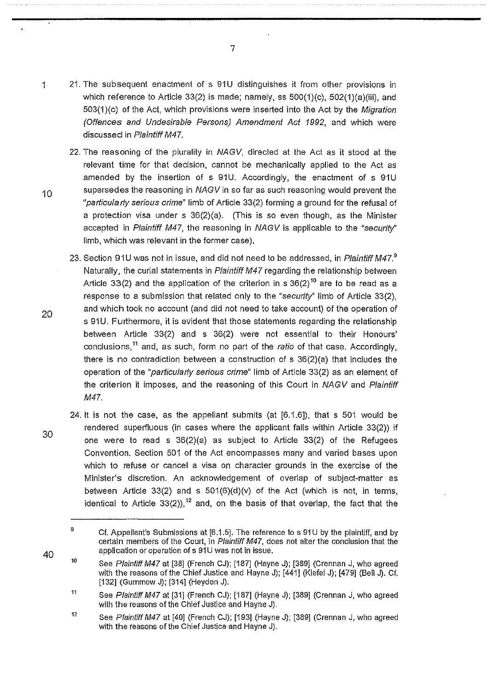- 1 21. The subsequent enactment of s 91 U distinguishes it from other provisions in which reference to Article 33(2) is made; namely, ss 500(1)(c), 502(1)(a)(iii), and 503(1)(c) of the Act, which provisions were inserted into the Act by the Migration (Offences and Undesirable Persons) Amendment Act 1992, and which were discussed in Plaintiff M47.
- 22. The reasoning of the plurality in NAGV, directed at the Act as it stood at the relevant time for that decision, cannot be mechanically applied to the Act as amended by the insertion of s 91U. Accordingly, the enactment of s 91U 10 supersedes the reasoning in  $NAGV$  in so far as such reasoning would prevent the "particularly serious crime" limb of Article 33(2) forming a ground for the refusal of a protection visa under s 36(2)(a). (This is so even though, as the Minister accepted in Plaintiff M47, the reasoning in NAGV is applicable to the "security'' limb, which was relevant in the former case).
	- 23. Section 91U was not in issue, and did not need to be addressed, in Plaintiff M47.<sup>9</sup> Naturally, the curial statements in Plaintiff M47 regarding the relationship between Article 33(2) and the application of the criterion in s  $36(2)^{10}$  are to be read as a response to a submission that related only to the "security" limb of Article 33(2), and which took no account (and did not need to take account) of the operation of s 91U. Furthermore, it is evident that those statements regarding the relationship between Article 33(2) and s 36(2) were not essential to their Honours' conclusions,<sup>11</sup> and, as such, form no part of the *ratio* of that case. Accordingly, there is no contradiction between a construction of s 36(2)(a) that includes the operation of the "particularly serious crime" limb of Article 33(2) as an element of the criterion it imposes, and the reasoning of this Court in NAGV and Plaintiff M47.
- 30 24. It is not the case, as the appellant submits (at [6.1.6]), that s 501 would be rendered superfluous (in cases where the applicant falls within Article 33(2)) if one were to read s  $36(2)(a)$  as subject to Article  $33(2)$  of the Refugees Convention. Section 501 of the Act encompasses many and varied bases upon which to refuse or cancel a visa on character grounds in the exercise of the Minister's discretion. An acknowledgement of overlap of subject-matter as between Article 33(2) and s  $501(6)(d)(v)$  of the Act (which is not, in terms, identical to Article 33(2)),<sup>12</sup> and, on the basis of that overlap, the fact that the

20

<sup>9</sup>  Cf. Appellant's Submissions at [6.1.5]. The reference to s 91 U by the plaintiff, and by certain members of the Court, in Plaintiff M47, does not alter the conclusion that the application or operation of s 91U was not in issue.

<sup>10</sup>  See Plaintiff M47 at [38] (French CJ); [187] (Hayne J); [389] (Crennan J, who agreed with the reasons of the Chief Justice and Hayne J); [441] (Kiefel J); [479] (Bell J). Cf. [132] (Gummow J); [314] (Heydon J).

<sup>11</sup>  See Plaintiff M47 at [31] (French CJ); [187] (Hayne J); [389] (Crennan J, who agreed with the reasons of the Chief Justice and Hayne J).

<sup>12</sup>  See Plaintiff M47 at [40] (French CJ); [193] (Hayne J); [389] (Grennan J, who agreed with the reasons of the Chief Justice and Hayne J).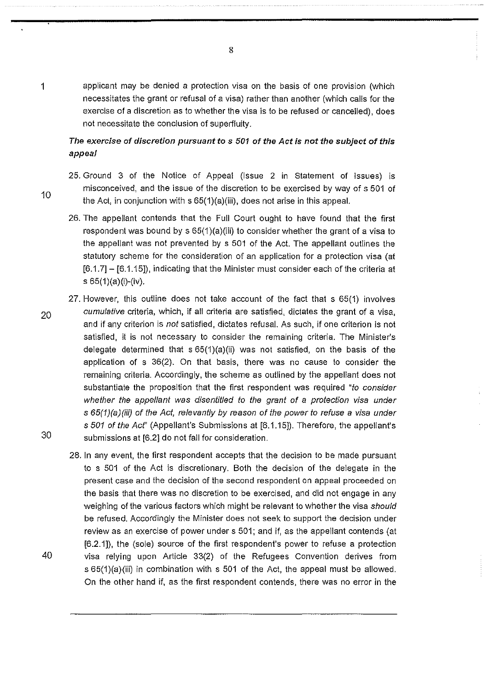1 applicant may be denied a protection visa on the basis of one provision (which necessitates the grant or refusal of a visa) rather than another (which calls for the exercise of a discretion as to whether the visa is to be refused or cancelled), does not necessitate the conclusion of superfluity.

# The exercise of discretion pursuant to s 501 of the Act is not the subject of this appeal

- 25. Ground 3 of the Notice of Appeal (Issue 2 in Statement of Issues) is misconceived, and the issue of the discretion to be exercised by way of s 501 of the Act, in conjunction with s 65(1)(a)(iii), does not arise in this appeal.
	- 26. The appellant contends that the Full Court ought to have found that the first respondent was bound by s 65(1)(a)(iii) to consider whether the grant of a visa to the appellant was not prevented by s 501 of the Act. The appellant outlines the statutory scheme for the consideration of an application for a protection visa (at  $[6.1.7]$  –  $[6.1.15]$ ), indicating that the Minister must consider each of the criteria at s 65(1)(a)(i)-(iv).
- 27. However, this outline does not take account of the fact that s 65(1) involves <sub>20</sub>cumulative criteria, which, if all criteria are satisfied, dictates the grant of a visa, and if any criterion is not satisfied, dictates refusal. As such, if one criterion is not satisfied, it is not necessary to consider the remaining criteria. The Minister's delegate determined that s 65(1)(a)(ii) was not satisfied, on the basis of the application of s 36(2). On that basis, there was no cause to consider the remaining criteria. Accordingly, the scheme as outlined by the appellant does not substantiate the proposition that the first respondent was required "to consider whether the appellant was disentitled to the grant of a protection visa under s 65(1)(a)(iii) of the Act, relevantly by reason of the power to refuse a visa under s 501 of the Acf' (Appellant's Submissions at [6.1.15]). Therefore, the appellant's 30 submissions at [6.2] do not fall for consideration.
- 28. In any event, the first respondent accepts that the decision to be made pursuant to s 501 of the Act is discretionary. Both the decision of the delegate in the present case and the decision of the second respondent on appeal proceeded on the basis that there was no discretion to be exercised, and did not engage in any weighing of the various factors which might be relevant to whether the visa should be refused. Accordingly the Minister does not seek to support the decision under review as an exercise of power under s 501; and if, as the appellant contends (at [6.2.1]), the (sole) source of the first respondent's power to refuse a protection 40 visa relying upon Article 33(2) of the Refugees Convention derives from s 65(1)(a)(iii) in combination with s 501 of the Act, the appeal must be allowed. On the other hand if, as the first respondent contends, there was no error in the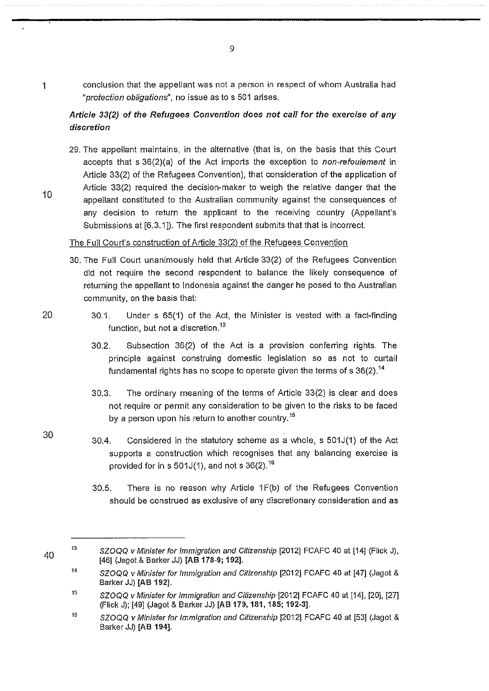1 conclusion that the appellant was not a person in respect of whom Australia had "protection obligations", no issue as to s 501 arises.

# Article 33(2) of the Refugees Convention does not call for the exercise of any discretion

29. The appellant maintains, in the alternative (that is, on the basis that this Court accepts that s 36(2)(a) of the Act imports the exception to non-refoulement in Article 33(2) of the Refugees Convention), that consideration of the application of Article 33(2) required the decision-maker to weigh the relative danger that the appellant constituted to the Australian community against the consequences of any decision to return the applicant to the receiving country (Appellant's Submissions at [6.3.1]). The first respondent submits that that is incorrect.

## The Full Court's construction of Article 33(2) of the Refugees Convention

- 30. The Full Court unanimously held that Article 33(2) of the Refugees Convention did not require the second respondent to balance the likely consequence of returning the appellant to Indonesia against the danger he posed to the Australian community, on the basis that:
- 20 30.1. Under s 65(1) of the Act, the Minister is vested with a fact-finding function, but not a discretion.<sup>13</sup>
	- 30.2. Subsection 36(2) of the Act is a provision conferring rights. The principle against construing domestic legislation so as not to curtail fundamental rights has no scope to operate given the terms of s  $36(2)$ .<sup>14</sup>
	- 30.3. The ordinary meaning of the terms of Article 33(2) is clear and does not require or permit any consideration to be given to the risks to be faced by a person upon his return to another country.<sup>15</sup>
	- 30.4. Considered in the statutory scheme as a whole, s 501J(1) of the Act supports a construction which recognises that any balancing exercise is provided for in s 501J(1), and not s  $36(2)$ . <sup>16</sup>
		- 30.5. There is no reason why Article  $1F(b)$  of the Refugees Convention should be construed as exclusive of any discretionary consideration and as

10

30

<sup>13</sup>  SZOQQ *v* Minister for Immigration and Citizenship [2012] FCAFC 40 at [14] (Flick J), [46] (Jagot & Barker JJ) [AB 178-9; 192].

<sup>14</sup>  SZOQQ v Minister for Immigration and Citizenship [2012] FCAFC 40 at [47] (Jagot & Barker JJ) [AB 192].

<sup>15</sup>  SZOQQ v Minister for Immigration and Citizenship [2012] FCAFC 40 at [14], [20], [27] (Flick J); [49] (Jagot & Barker JJ) [AB 179,181, 185; 192-3].

<sup>16</sup>  SZOQQ v Minister for Immigration and Citizenship [2012] FCAFC 40 at [53] (Jagot & Barker JJ) [AB 194].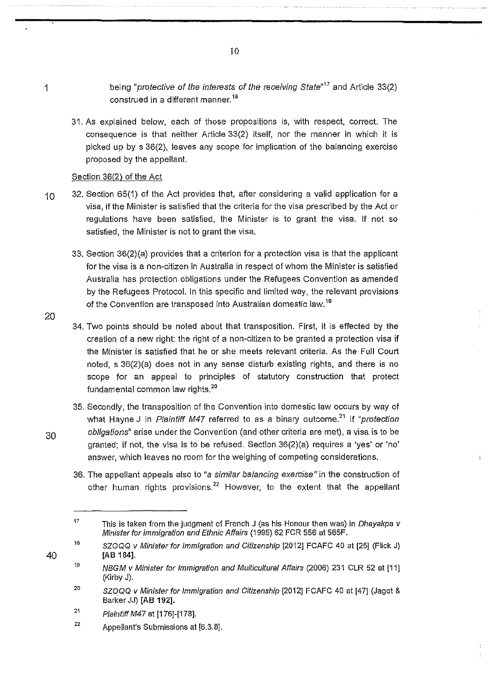being "protective of the interests of the receiving State"*<sup>17</sup>*and Article 33(2) construed in a different manner.<sup>18</sup>

31. As explained below, each of those propositions is, with respect, correct. The consequence is that neither Article 33(2) itself, nor the manner in which it is picked up by s 36(2), leaves any scope for implication of the balancing exercise proposed by the appellant.

## Section 36(2) of the Act

- 10 32. Section 65(1) of the Act provides that, after considering a valid application for a visa, if the Minister is satisfied that the criteria for the visa prescribed by the Act or regulations have been satisfied, the Minister is to grant the visa. If not so satisfied, the Minister is not to grant the visa.
	- 33. Section 36(2)(a) provides that a criterion for a protection visa is that the applicant for the visa is a non-citizen in Australia in respect of whom the Minister is satisfied Australia has protection obligations under the Refugees Convention as amended by the Refugees Protocol. In this specific and limited way, the relevant provisions of the Convention are transposed into Australian domestic law. <sup>19</sup>
	- 34. Two points should be noted about that transposition. First, it is effected by the creation of a new right: the right of a non-citizen to be granted a protection visa if the Minister is satisfied that he or she meets relevant criteria. As the Full Court noted, s 36(2)(a) does not in any sense disturb existing rights, and there is no scope for an appeal to principles of statutory construction that protect fundamental common law rights.<sup>20</sup>
- 35. Secondly, the transposition of the Convention into domestic law occurs by way of what Hayne J in Plaintiff M47 referred to as a binary outcome.<sup>21</sup> If "protection 30 obligations" arise under the Convention (and other criteria are met), a visa is to be granted; if not, the visa is to be refused. Section 36(2)(a) requires a 'yes' or 'no' answer, which leaves no room for the weighing of competing considerations.
	- 36. The appellant appeals also to "a similar balancing exercise" in the construction of other human rights provisions. $^{22}$  However, to the extent that the appellant

- 21 Plaintiff M47 at [176]-[178].
- 22 Appellant's Submissions at [6.3.8].

10

20

1

<sup>17</sup>  This is taken from the judgment of French J (as his Honour then was) in Dhayakpa v Minister for Immigration and Ethnic Affairs (1995) 62 FCR 556 at 565F.

<sup>18</sup>  SZOQQ v Minister for Immigration and Citizenship [2012] FCAFC 40 at [25] (Flick J) [AB 184].

<sup>19</sup>  NBGM v Minister for Immigration and Multicultural Affairs (2006) 231 CLR 52 at [11] (Kirby J).

<sup>20</sup>  SZOQQ v Minister for Immigration and Citizenship [2012] FCAFC 40 at [47] (Jagot & Barker JJ) [AB 192].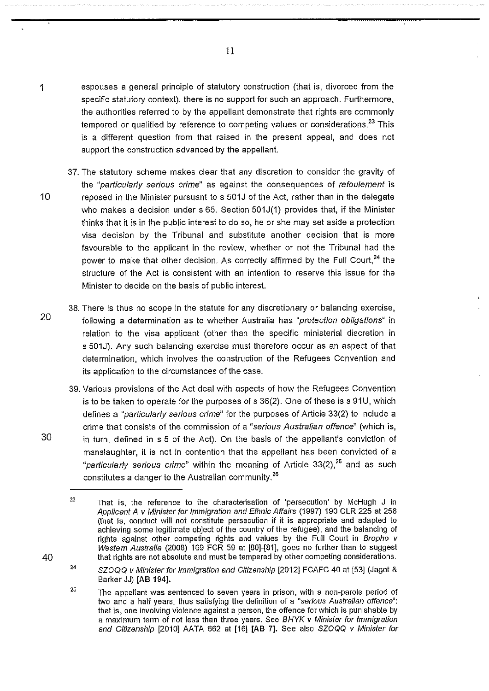- 1 espouses a general principle of statutory construction (that is, divorced from the specific statutory context), there is no support for such an approach. Furthermore, the authorities referred to by the appellant demonstrate that rights are commonly tempered or qualified by reference to competing values or considerations.<sup>23</sup> This is a different question from that raised in the present appeal, and does not support the construction advanced by the appellant.
- 37. The statutory scheme makes clear that any discretion to consider the gravity of the "particularly serious crime" as against the consequences of refoulement is 10 reposed in the Minister pursuant to s 501J of the Act, rather than in the delegate who makes a decision under s 65. Section 501J(1) provides that, if the Minister thinks that it is in the public interest to do so, he or she may set aside a protection visa decision by the Tribunal and substitute another decision that is more favourable to the applicant in the review, whether or not the Tribunal had the power to make that other decision. As correctly affirmed by the Full Court,  $24$  the structure of the Act is consistent with an intention to reserve this issue for the Minister to decide on the basis of public interest.
	- 38. There is thus no scope in the statute for any discretionary or balancing exercise, following a determination as to whether Australia has "protection obligations" in relation to the visa applicant (other than the specific ministerial discretion in s 501J). Any such balancing exercise must therefore occur as an aspect of that determination, which involves the construction of the Refugees Convention and its application to the circumstances of the case.
- 39. Various provisions of the Act deal with aspects of how the Refugees Convention is to be taken to operate for the purposes of  $s$  36(2). One of these is  $s$  91U, which defines a "particularly serious crime" for the purposes of Article 33(2) to include a crime that consists of the commission of a "serious Australian offence" (which is, 30 in turn, defined in s 5 of the Act). On the basis of the appellant's conviction of manslaughter, it is not in contention that the appellant has been convicted of a "particularly serious crime" within the meaning of Article 33(2), $^{25}$  and as such constitutes a danger to the Australian community.<sup>26</sup>

20

<sup>23</sup>  That is, the reference to the characterisation of 'persecution' by McHugh J in Applicant A v Minister for Immigration and Ethnic Affairs (1997) 190 CLR 225 at 258 (that is, conduct will not constitute persecution if it is appropriate and adapted to achieving some legitimate object of the country of the refugee), and the balancing of rights against other competing rights and values by the Full Court in Bropho v Western Australia (2008) 169 FCR 59 at [80]-[81], goes no further than to suggest that rights are not absolute and must be tempered by other competing considerations.

<sup>24</sup>  SZOQQ v Minister for Immigration and Citizenship [2012] FCAFC 40 at [53] (Jagot & Barker JJ) **[AB 194].** 

<sup>25</sup>  The appellant was sentenced to seven years in prison, with a non-parole period of two and a half years, thus satisfying the definition of a "serious Australian offence": that is, one involving violence against a person, the offence for which is punishable by a maximum term of not less than three years. See BHYK v Minister for Immigration and Citizenship [2010] AATA 662 at [16] [AB 7]. See also SZOQQ v Minister for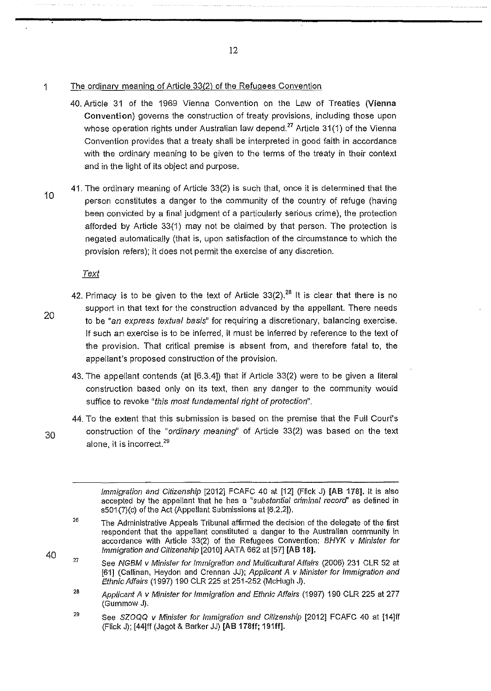1 The ordinary meaning of Article 33(2) of the Refugees Convention

- 40. Article 31 of the 1969 Vienna Convention on the Law of Treaties (Vienna Convention) governs the construction of treaty provisions, including those upon whose operation rights under Australian law depend.<sup>27</sup> Article 31(1) of the Vienna Convention provides that a treaty shall be interpreted in good faith in accordance with the ordinary meaning to be given to the terms of the treaty in their context and in the light of its object and purpose.
- 10 41. The ordinary meaning of Article 33(2) is such that, once it is determined that the person constitutes a danger to the community of the country of refuge (having been convicted by a final judgment of a particularly serious crime), the protection afforded by Article 33(1) may not be claimed by that person. The protection is negated automatically (that is, upon satisfaction of the circumstance to which the provision refers); it does not permit the exercise of any discretion.

Text

- 42. Primacy is to be given to the text of Article  $33(2)$ .<sup>28</sup> It is clear that there is no support in that text for the construction advanced by the appellant. There needs to be "an express textual basis" for requiring a discretionary, balancing exercise. If such an exercise is to be inferred, it must be inferred by reference to the text of the provision. That critical premise is absent from, and therefore fatal to, the appellant's proposed construction of the provision.
	- 43. The appellant contends (at [6.3.4]) that if Article 33(2) were to be given a literal construction based only on its text, then any danger to the community would suffice to revoke "this most fundamental right of protection".
- 44. To the extent that this submission is based on the premise that the Full Court's 30 construction of the "ordinary meaning" of Article 33(2) was based on the text alone, it is incorrect.<sup>29</sup>
	- Immigration and Citizenship [2012] FCAFC 40 at [12] (Flick J) [AB 178]. It is also accepted by the appellant that he has a "substantial criminal record' as defined in s501(7)(c) of the Act (Appellant Submissions at [6.2.2]).

- 27 See NGBM v Minister for Immigration and Multicultural Affairs (2006) 231 CLR 52 at [61] (Callinan, Heydon and Grennan JJ); Applicant A v Minister for Immigration and Ethnic Affairs (1997) 190 CLR 225 at 251-252 (McHugh J).
- 28 Applicant A v Minister for Immigration and Ethnic Affairs (1997) 190 CLR 225 at 277 (Gummow J).
- 29 See SZOQQ v Minister for Immigration and Citizenship [2012] FCAFC 40 at [14]ff (Flick J); [44]11 (Jagot & Barker JJ) [AB 178ff; 191ff].

20

<sup>26</sup>  The Administrative Appeals Tribunal affirmed the decision of the delegate of the first respondent that the appellant constituted a danger to the Australian community in accordance with Article 33(2) of the Refugees Convention: BHYK v Minister for Immigration and Citizenship [2010] AATA 662 at [57] [AB 18].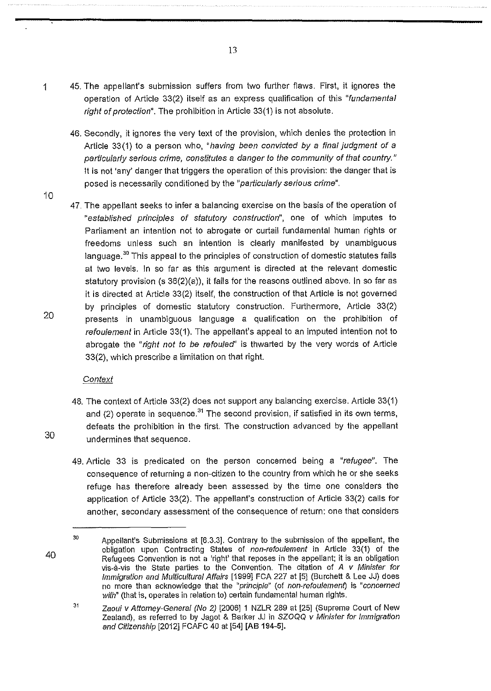- 1 45. The appellant's submission suffers from two further flaws. First, it ignores the operation of Article 33(2) itself as an express qualification of this "fundamental right of protection". The prohibition in Article 33(1) is not absolute.
	- 46. Secondly, it ignores the very text of the provision, which denies the protection in Article 33(1) to a person who, "having been convicted by a final judgment of a particularly serious crime, constitutes a danger to the community of that country." It is not 'any' danger that triggers the operation of this provision: the danger that is posed is necessarily conditioned by the "particularly serious crime".
	- 47. The appellant seeks to infer a balancing exercise on the basis of the operation of "established principles of statutory construction", one of which imputes to Parliament an intention not to abrogate or curtail fundamental human rights or freedoms unless such an intention is clearly manifested by unambiguous language.<sup>30</sup> This appeal to the principles of construction of domestic statutes fails at two levels. In so far as this argument is directed at the relevant domestic statutory provision (s 36(2)(a)), it fails for the reasons outlined above. In so far as it is directed at Article 33(2) itself, the construction of that Article is not governed by principles of domestic statutory construction. Furthermore, Article 33(2) presents in unambiguous language a qualification on the prohibition of refoulement in Article 33(1). The appellant's appeal to an imputed intention not to abrogate the "right not to be refouled" is thwarted by the very words of Article 33(2), which prescribe a limitation on that right.

## **Context**

- 48. The context of Article 33(2) does not support any balancing exercise. Article 33(1) and (2) operate in sequence.<sup>31</sup> The second provision, if satisfied in its own terms, defeats the prohibition in the first. The construction advanced by the appellant undermines that sequence.
- 49. Article 33 is predicated on the person concerned being a "refugee". The consequence of returning a non-citizen to the country from which he or she seeks refuge has therefore already been assessed by the time one considers the application of Article 33(2). The appellant's construction of Article 33(2) calls for another, secondary assessment of the consequence of return: one that considers

10

20

30

<sup>30</sup>  Appellant's Submissions at [6.3.3]. Contrary to the submission of the appellant, the obligation upon Contracting States of non-refoulement in Article 33(1) of the Refugees Convention is not a 'right' that reposes in the appellant; it is an obligation vis-a-vis the State parties to the Convention. The citation of  $A$  v Minister for Immigration and Multicultural Affairs [1999] FCA 227 at [5] (Burchett & Lee JJ) does no more than acknowledge that the "principle" (of non-refoulement) is "concerned with" (that is, operates in relation to) certain fundamental human rights.

<sup>31</sup>  Zaoui v Attorney-General (No 2) [2006] 1 NZLR 289 at [25] (Supreme Court of New Zealand), as referred to by Jagot & Barker JJ in SZOQQ v Minister for Immigration and Citizenship [2012] FCAFC 40 at [54] [AB 194-5].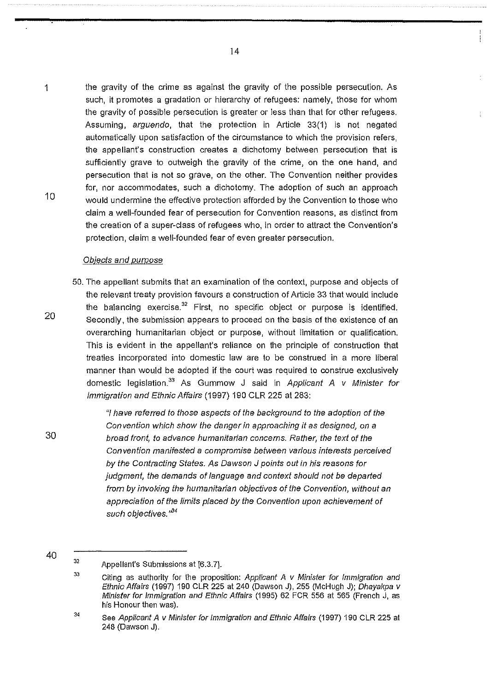1 the gravity of the crime as against the gravity of the possible persecution. As such, it promotes a gradation or hierarchy of refugees: namely, those for whom the gravity of possible persecution is greater or less than that for other refugees. Assuming, arguendo, that the protection in Article 33(1) is not negated automatically upon satisfaction of the circumstance to which the provision refers, the appellant's construction creates a dichotomy between persecution that is sufficiently grave to outweigh the gravity of the crime, on the one hand, and persecution that is not so grave, on the other. The Convention neither provides 10 for, nor accommodates, such a dichotomy. The adoption of such an approach would undermine the effective protection afforded by the Convention to those who claim a well-founded fear of persecution for Convention reasons, as distinct from the creation of a super-class of refugees who, in order to attract the Convention's protection, claim a well-founded fear of even greater persecution.

#### Objects and purpose

50. The appellant submits that an examination of the context, purpose and objects of the relevant treaty provision favours a construction of Article 33 that would include the balancing exercise. $32$  First, no specific object or purpose is identified. Secondly, the submission appears to proceed on the basis of the existence of an overarching humanitarian object or purpose, without limitation or qualification. This is evident in the appellant's reliance on the principle of construction that treaties incorporated into domestic law are to be construed in a more liberal manner than would be adopted if the court was required to construe exclusively domestic legislation.<sup>33</sup> As Gummow J said in Applicant A v Minister for Immigration and Ethnic Affairs (1997) 190 CLR 225 at 283:

> "I have referred to those aspects of the background to the adoption of the Convention which show the danger in approaching it as designed, on a broad front, to advance humanitarian concerns. Rather, the text of the Convention manifested a compromise between various interests perceived by the Contracting States. As Dawson *J* points out in his reasons for judgment, the demands of language and context should not be departed from by invoking the humanitarian objectives of the Convention, without an appreciation of the limits placed by the Convention upon achievement of such objectives.'<sup>34</sup>

40

÷

20

<sup>32</sup>  Appellant's Submissions at [6.3.7].

<sup>33</sup>  Citing as authority for the proposition: Applicant A v Minister for Immigration and Ethnic Affairs (1997) 190 CLR 225 at 240 (Dawson J), 255 (McHugh J); Dhayakpa v Minister for Immigration and Ethnic Affairs (1995) 62 FCR 556 at 565 (French J, as his Honour then was).

<sup>34</sup>  See Applicant A v Minister for Immigration and Ethnic Affairs (1997) 190 CLR 225 at 248 (Dawson J).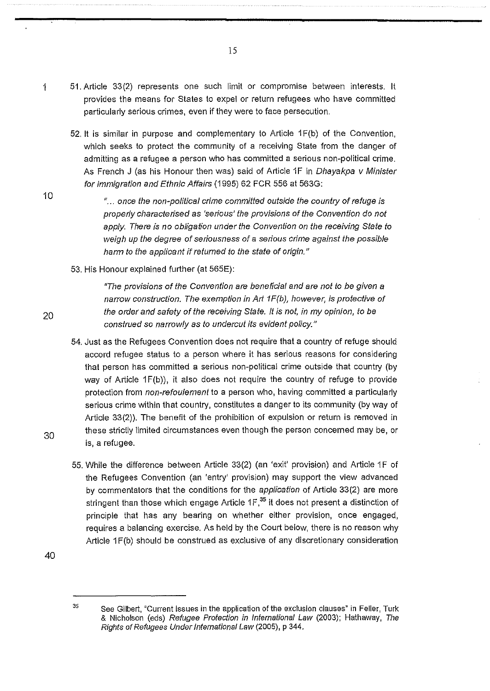- 1 51. Article 33(2) represents one such limit or compromise between interests. It provides the means for States to expel or return refugees who have committed particularly serious crimes, even if they were to face persecution.
	- 52. It is similar in purpose and complementary to Article 1 F(b) of the Convention, which seeks to protect the community of a receiving State from the danger of admitting as a refugee a person who has committed a serious non-political crime. As French J (as his Honour then was) said of Article 1F in Dhayakpa v Minister for Immigration and Ethnic Affairs (1995) 62 FCR 556 at 563G:

"... once the non-political crime committed outside the country of refuge is properly characterised as 'serious' the provisions of the Convention do not apply. There is no obligation under the Convention on the receiving State to weigh up the degree of seriousness of a serious crime against the possible harm to the applicant if returned to the state of origin."

53. His Honour explained further (at 565E):

"The provisions of the Convention are beneficial and are not to be given a narrow construction. The exemption in Art 1F(b), however, is protective of the order and safety of the receiving State. It is not, in my opinion, to be construed so narrowly as to undercut its evident policy."

- 54. Just as the Refugees Convention does not require that a country of refuge should accord refugee status to a person where it has serious reasons for considering that person has committed a serious non-political crime outside that country (by way of Article  $1F(b)$ ), it also does not require the country of refuge to provide protection from non-refoulement to a person who, having committed a particularly serious crime within that country, constitutes a danger to its community (by way of Article 33(2)). The benefit of the prohibition of expulsion or return is removed in these strictly limited circumstances even though the person concerned may be, or is, a refugee.
- 55. While the difference between Article 33(2) (an 'exit' provision) and Article 1F of the Refugees Convention (an 'entry' provision) may support the view advanced by commentators that the conditions for the application of Article 33(2) are more stringent than those which engage Article  $1F<sub>1</sub><sup>35</sup>$  it does not present a distinction of principle that has any bearing on whether either provision, once engaged, requires a balancing exercise. As held by the Court below, there is no reason why Article 1F(b) should be construed as exclusive of any discretionary consideration

40

30

20

 $35$ See Gilbert, "Current issues in the application of the exclusion clauses" in Feller, Turk & Nicholson (eds) Refugee Protection in International Law (2003); Hathaway, The Rights of Refugees Under International Law (2005), p 344.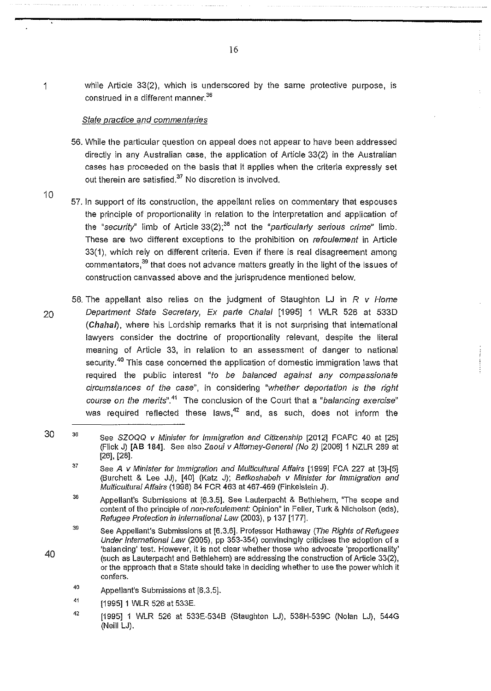1 while Article 33(2), which is underscored by the same protective purpose, is construed in a different manner.<sup>36</sup>

#### State practice and commentaries

- 56. While the particular question on appeal does not appear to have been addressed directly in any Australian case, the application of Article 33(2) in the Australian cases has proceeded on the basis that it applies when the criteria expressly set out therein are satisfied.<sup>37</sup> No discretion is involved.
- 10 57. In support of its construction, the appellant relies on commentary that espouses the principle of proportionality in relation to the interpretation and application of the "security" limb of Article  $33(2)$ ;<sup>38</sup> not the "particularly serious crime" limb. These are two different exceptions to the prohibition on refoulement in Article 33(1), which rely on different criteria. Even if there is real disagreement among commentators, $39$  that does not advance matters greatly in the light of the issues of construction canvassed above and the jurisprudence mentioned below.
- 58. The appellant also relies on the judgment of Staughton LJ in  $R$  v Home 20 Department State Secretary, Ex parte Chalal [1995] 1 WLR 526 at 5330 (Chahal), where his Lordship remarks that it is not surprising that international lawyers consider the doctrine of proportionality relevant, despite the literal meaning of Article 33, in relation to an assessment of danger to national security.<sup>40</sup> This case concerned the application of domestic immigration laws that required the public interest "to be balanced against any compassionate circumstances of the case", in considering "whether deportation is the right course on the merits".<sup>41</sup> The conclusion of the Court that a "balancing exercise" was required reflected these laws, $42$  and, as such, does not inform the
- 30 36 See SZOQQ v Minister for Immigration and Citizenship [2012] FCAFC 40 at [25] (Flick J) [AB 184]. See also Zaoui v Attorney-General (No 2) [2006] 1 NZLR 289 at [26], [28].
	- 37 See A v Minister for immigration and Multicultural Affairs [1999] FCA 227 at [3]-[5] (Burchett & Lee JJ), [40] (Katz J); Betkoshabeh v Minister for Immigration and Multicultural Affairs (1998) 84 FCR 463 at 467-469 (Finkelstein J).
	- 38 Appellant's Submissions at [6.3.5]. See Lauterpacht & Bethlehem, "The scope and content of the principle of non-refoulement: Opinion" in Feller, Turk & Nicholson (eds), Refugee Protection in International Law (2003), p 137 [177].
	- 39 See Appellant's Submissions at [6.3.6]. Professor Hathaway (The Rights of Refugees Under International Law (2005), pp 353-354) convincingly criticises the adoption of a 'balancing' test. However, it is not clear whether those who advocate 'proportionality' (such as Lauterpacht and Bethlehem) are addressing the construction of Article 33(2), or the approach that a State should take in deciding whether to use the power which it confers.
	- 40 Appellant's Submissions at [6.3.5].
	- 41 [1995] 1 WLR 526 at 533E.
	- 42 [1995] 1 WLR 526 at 533E-534B (Staughton LJ), 538H-539C (Nolan LJ), 544G (Neill LJ).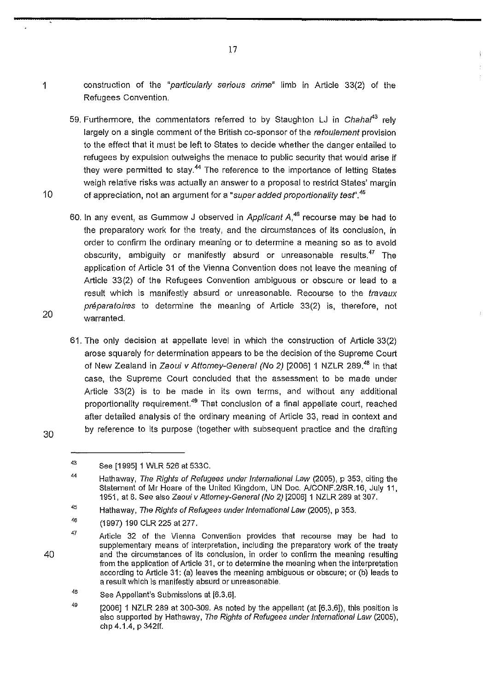- 
- 1 construction of the "particularly serious crime" limb in Article 33(2) of the Refugees Convention.

- 59. Furthermore, the commentators referred to by Staughton LJ in Chahaf*<sup>3</sup>*rely largely on a single comment of the British co-sponsor of the refoulement provision to the effect that it must be left to States to decide whether the danger entailed to refugees by expulsion outweighs the menace to public security that would arise if they were permitted to stay.<sup>44</sup> The reference to the importance of letting States weigh relative risks was actually an answer to a proposal to restrict States' margin 10 of appreciation, not an argument for a "super added proportionality test".<sup>45</sup>
	- 60. In any event, as Gummow J observed in Applicant  $A<sup>46</sup>$  recourse may be had to the preparatory work for the treaty, and the circumstances of its conclusion, in order to confirm the ordinary meaning or to determine a meaning so as to avoid obscurity, ambiguity or manifestly absurd or unreasonable results.<sup>47</sup> The application of Article 31 of the Vienna Convention does not leave the meaning of Article 33(2) of the Refugees Convention ambiguous or obscure or lead to a result which is manifestly absurd or unreasonable. Recourse to the *travaux* préparatoires to determine the meaning of Article 33(2) is, therefore, not warranted.
	- 61. The only decision at appellate level in which the construction of Article 33(2) arose squarely for determination appears to be the decision of the Supreme Court of New Zealand in Zaoui v Attorney-General (No 2) [2006] 1 NZLR 289.<sup>48</sup> In that case, the Supreme Court concluded that the assessment to be made under Article 33(2) is to be made in its own terms, and without any additional proportionality requirement.<sup>49</sup> That conclusion of a final appellate court, reached after detailed analysis of the ordinary meaning of Article 33, read in context and by reference to its purpose (together with subsequent practice and the drafting

30

43

40

49  $[2006]$  1 NZLR 289 at 300-309. As noted by the appellant (at  $[6,3,6]$ ), this position is also supported by Hathaway, The Rights of Refugees under International Law (2005), chp 4.1.4, p 342ff.

See [1995] 1 WLR 526 at 533C.

<sup>44</sup> Hathaway, The Rights of Refugees under International Law (2005), p 353, citing the Statement of Mr Hoare of the United Kingdom, UN Doc. A/CONF.2/SR.16, July 11, 1951, at 8. See also Zaoui v Attorney-General (No 2) [2006]1 NZLR 289 at 307.

<sup>45</sup>  Hathaway, The Rights of Refugees under International Law (2005), p 353.

<sup>46</sup>  (1997) 190 CLR 225 at 277.

<sup>47</sup>  Article 32 of the Vienna Convention provides that recourse may be had to supplementary means of interpretation, including the preparatory work of the treaty and the circumstances of its conclusion, in order to confirm the meaning resulting from the application of Article 31, or to determine the meaning when the interpretation according to Article 31: (a) leaves the meaning ambiguous or obscure; or (b) leads to a result which is manifestly absurd or unreasonable.

<sup>48</sup>  See Appellant's Submissions at [6.3.6].